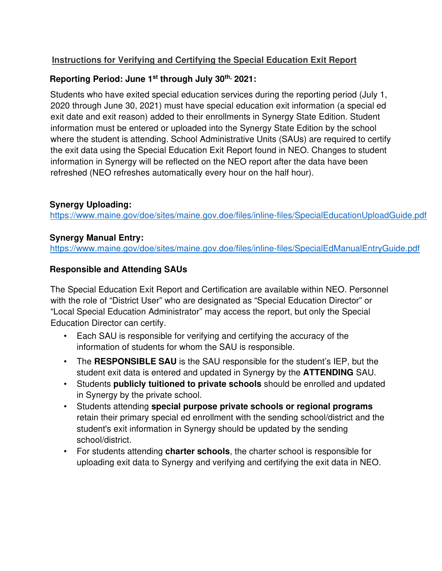# **Instructions for Verifying and Certifying the Special Education Exit Report**

## **Reporting Period: June 1st through July 30th, 2021:**

Students who have exited special education services during the reporting period (July 1, 2020 through June 30, 2021) must have special education exit information (a special ed exit date and exit reason) added to their enrollments in Synergy State Edition. Student information must be entered or uploaded into the Synergy State Edition by the school where the student is attending. School Administrative Units (SAUs) are required to certify the exit data using the Special Education Exit Report found in NEO. Changes to student information in Synergy will be reflected on the NEO report after the data have been refreshed (NEO refreshes automatically every hour on the half hour).

## **Synergy Uploading:**

https://www.maine.gov/doe/sites/maine.gov.doe/files/inline-files/SpecialEducationUploadGuide.pdf

#### **Synergy Manual Entry:**

https://www.maine.gov/doe/sites/maine.gov.doe/files/inline-files/SpecialEdManualEntryGuide.pdf

## **Responsible and Attending SAUs**

The Special Education Exit Report and Certification are available within NEO. Personnel with the role of "District User" who are designated as "Special Education Director" or "Local Special Education Administrator" may access the report, but only the Special Education Director can certify.

- Each SAU is responsible for verifying and certifying the accuracy of the information of students for whom the SAU is responsible.
- The **RESPONSIBLE SAU** is the SAU responsible for the student's IEP, but the student exit data is entered and updated in Synergy by the **ATTENDING** SAU.
- Students **publicly tuitioned to private schools** should be enrolled and updated in Synergy by the private school.
- Students attending **special purpose private schools or regional programs** retain their primary special ed enrollment with the sending school/district and the student's exit information in Synergy should be updated by the sending school/district.
- For students attending **charter schools**, the charter school is responsible for uploading exit data to Synergy and verifying and certifying the exit data in NEO.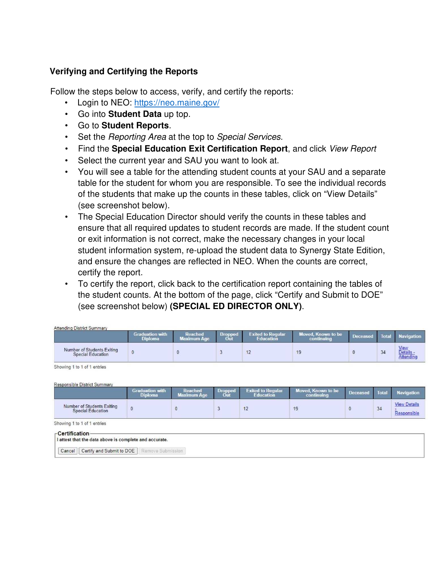#### **Verifying and Certifying the Reports**

Follow the steps below to access, verify, and certify the reports:

- Login to NEO: https://neo.maine.gov/
- Go into **Student Data** up top.
- Go to **Student Reports**.
- Set the *Reporting Area* at the top to *Special Services*.
- Find the **Special Education Exit Certification Report**, and click View Report
- Select the current year and SAU you want to look at.
- You will see a table for the attending student counts at your SAU and a separate table for the student for whom you are responsible. To see the individual records of the students that make up the counts in these tables, click on "View Details" (see screenshot below).
- The Special Education Director should verify the counts in these tables and ensure that all required updates to student records are made. If the student count or exit information is not correct, make the necessary changes in your local student information system, re-upload the student data to Synergy State Edition, and ensure the changes are reflected in NEO. When the counts are correct, certify the report.
- To certify the report, click back to the certification report containing the tables of the student counts. At the bottom of the page, click "Certify and Submit to DOE" (see screenshot below) **(SPECIAL ED DIRECTOR ONLY)**.

| Attending District Summary                      |                                          |                        |             |                          |                                  |                 |    |                        |
|-------------------------------------------------|------------------------------------------|------------------------|-------------|--------------------------|----------------------------------|-----------------|----|------------------------|
|                                                 | <b>Graduation with</b><br><b>Diploma</b> | Reached<br>Maximum Age | Dron<br>Out | <b>Exited to Regular</b> | Moved, Known to be<br>continuing | <b>Deceased</b> |    | Total Navigation       |
| Number of Students Exiting<br>Special Education |                                          |                        |             | 12                       | 19                               |                 | 34 | View<br><u>Details</u> |

Showing 1 to 1 of 1 entries

Responsible District Summary

|                                                        | $-1$<br><b>Diploma</b> | <b>Reached</b><br><b>Maximum Age</b> | Dropped<br>Out | <b>Exited to Regular</b><br><b>Education</b> | Moved, Known to be<br>continuing | <b>Deceased</b> | Total | <b>Navigation</b>   |
|--------------------------------------------------------|------------------------|--------------------------------------|----------------|----------------------------------------------|----------------------------------|-----------------|-------|---------------------|
| Number of Students Exiting<br><b>Special Education</b> |                        |                                      |                | 12                                           | 19                               |                 | 34    | <b>View Details</b> |

Showing 1 to 1 of 1 entries

| -Certification<br>I attest that the data above is complete and accurate. |                   |  |
|--------------------------------------------------------------------------|-------------------|--|
| Certify and Submit to DOE<br>Cancel                                      | Remove Submission |  |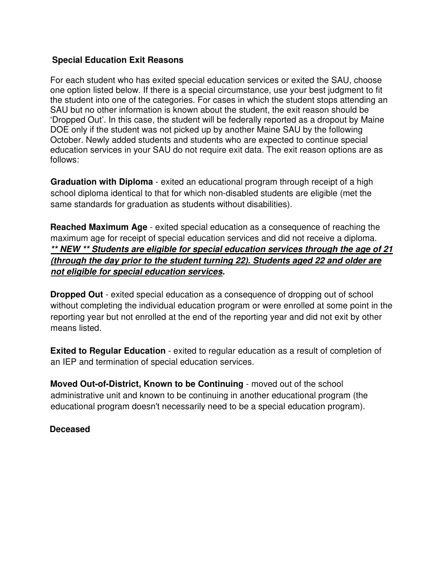#### **Special Education Exit Reasons**

For each student who has exited special education services or exited the SAU, choose one option listed below. If there is a special circumstance, use your best judgment to fit the student into one of the categories. For cases in which the student stops attending an SAU but no other information is known about the student, the exit reason should be 'Dropped Out'. In this case, the student will be federally reported as a dropout by Maine DOE only if the student was not picked up by another Maine SAU by the following October. Newly added students and students who are expected to continue special education services in your SAU do not require exit data. The exit reason options are as follows:

**Graduation with Diploma** - exited an educational program through receipt of a high school diploma identical to that for which non-disabled students are eligible (met the same standards for graduation as students without disabilities).

**Reached Maximum Age** - exited special education as a consequence of reaching the maximum age for receipt of special education services and did not receive a diploma. **\*\* NEW \*\* Students are eligible for special education services through the age of 21 (through the day prior to the student turning 22). Students aged 22 and older are not eligible for special education services.**

**Dropped Out** - exited special education as a consequence of dropping out of school without completing the individual education program or were enrolled at some point in the reporting year but not enrolled at the end of the reporting year and did not exit by other means listed.

**Exited to Regular Education** - exited to regular education as a result of completion of an IEP and termination of special education services.

**Moved Out-of-District, Known to be Continuing** - moved out of the school administrative unit and known to be continuing in another educational program (the educational program doesn't necessarily need to be a special education program).

#### **Deceased**